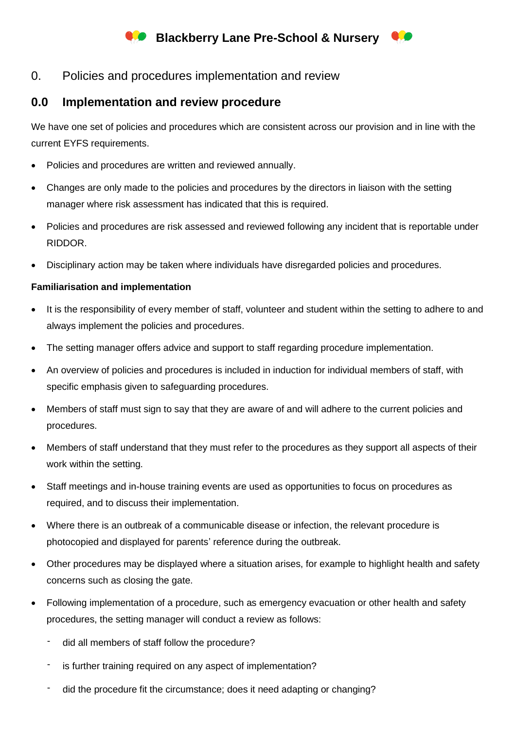## **Blackberry Lane Pre-School & Nursery**

0. Policies and procedures implementation and review

## **0.0 Implementation and review procedure**

We have one set of policies and procedures which are consistent across our provision and in line with the current EYFS requirements.

- Policies and procedures are written and reviewed annually.
- Changes are only made to the policies and procedures by the directors in liaison with the setting manager where risk assessment has indicated that this is required.
- Policies and procedures are risk assessed and reviewed following any incident that is reportable under RIDDOR.
- Disciplinary action may be taken where individuals have disregarded policies and procedures.

## **Familiarisation and implementation**

- It is the responsibility of every member of staff, volunteer and student within the setting to adhere to and always implement the policies and procedures.
- The setting manager offers advice and support to staff regarding procedure implementation.
- An overview of policies and procedures is included in induction for individual members of staff, with specific emphasis given to safeguarding procedures.
- Members of staff must sign to say that they are aware of and will adhere to the current policies and procedures.
- Members of staff understand that they must refer to the procedures as they support all aspects of their work within the setting.
- Staff meetings and in-house training events are used as opportunities to focus on procedures as required, and to discuss their implementation.
- Where there is an outbreak of a communicable disease or infection, the relevant procedure is photocopied and displayed for parents' reference during the outbreak.
- Other procedures may be displayed where a situation arises, for example to highlight health and safety concerns such as closing the gate.
- Following implementation of a procedure, such as emergency evacuation or other health and safety procedures, the setting manager will conduct a review as follows:
	- did all members of staff follow the procedure?
	- is further training required on any aspect of implementation?
	- did the procedure fit the circumstance; does it need adapting or changing?